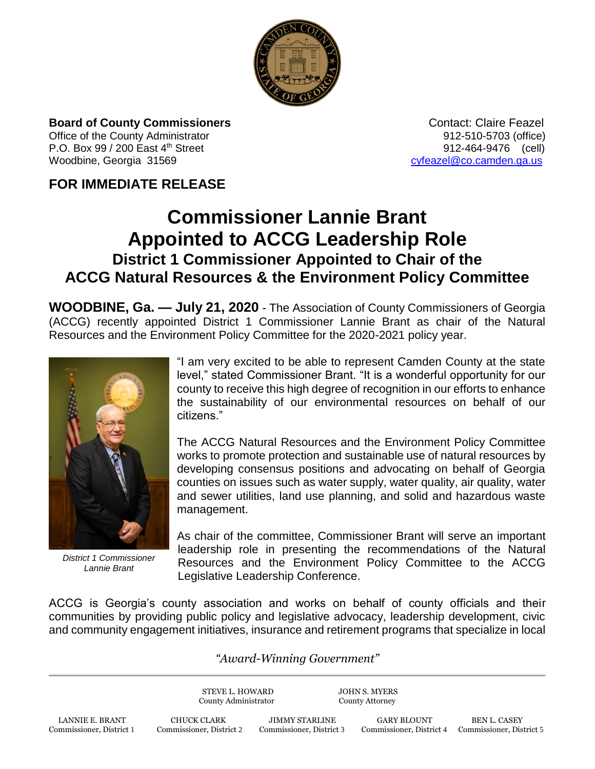

**Board of County Commissioners Contact: Claire Feazel Contact: Claire Feazel** Office of the County Administrator **912-510-5703** (office)

P.O. Box 99 / 200 East 4<sup>th</sup> Street 912-464-9476 (cell) Woodbine, Georgia 31569 [cyfeazel@co.camden.ga.us](mailto:cyfeazel@co.camden.ga.us)

## **FOR IMMEDIATE RELEASE**

## **Commissioner Lannie Brant Appointed to ACCG Leadership Role District 1 Commissioner Appointed to Chair of the ACCG Natural Resources & the Environment Policy Committee**

**WOODBINE, Ga. — July 21, 2020** - The Association of County Commissioners of Georgia (ACCG) recently appointed District 1 Commissioner Lannie Brant as chair of the Natural Resources and the Environment Policy Committee for the 2020-2021 policy year.



*District 1 Commissioner Lannie Brant*

"I am very excited to be able to represent Camden County at the state level," stated Commissioner Brant. "It is a wonderful opportunity for our county to receive this high degree of recognition in our efforts to enhance the sustainability of our environmental resources on behalf of our citizens."

The ACCG Natural Resources and the Environment Policy Committee works to promote protection and sustainable use of natural resources by developing consensus positions and advocating on behalf of Georgia counties on issues such as water supply, water quality, air quality, water and sewer utilities, land use planning, and solid and hazardous waste management.

As chair of the committee, Commissioner Brant will serve an important leadership role in presenting the recommendations of the Natural Resources and the Environment Policy Committee to the ACCG Legislative Leadership Conference.

ACCG is Georgia's county association and works on behalf of county officials and their communities by providing public policy and legislative advocacy, leadership development, civic and community engagement initiatives, insurance and retirement programs that specialize in local

## *"Award-Winning Government"*

STEVE L. HOWARD JOHN S. MYERS County Administrator County Attorney

LANNIE E. BRANT CHUCK CLARK JIMMY STARLINE GARY BLOUNT BEN L. CASEY Commissioner, District 1 Commissioner, District 2 Commissioner, District 3 Commissioner, District 4 Commissioner, District 1

Commissioner, District 4 Commissioner, District 5